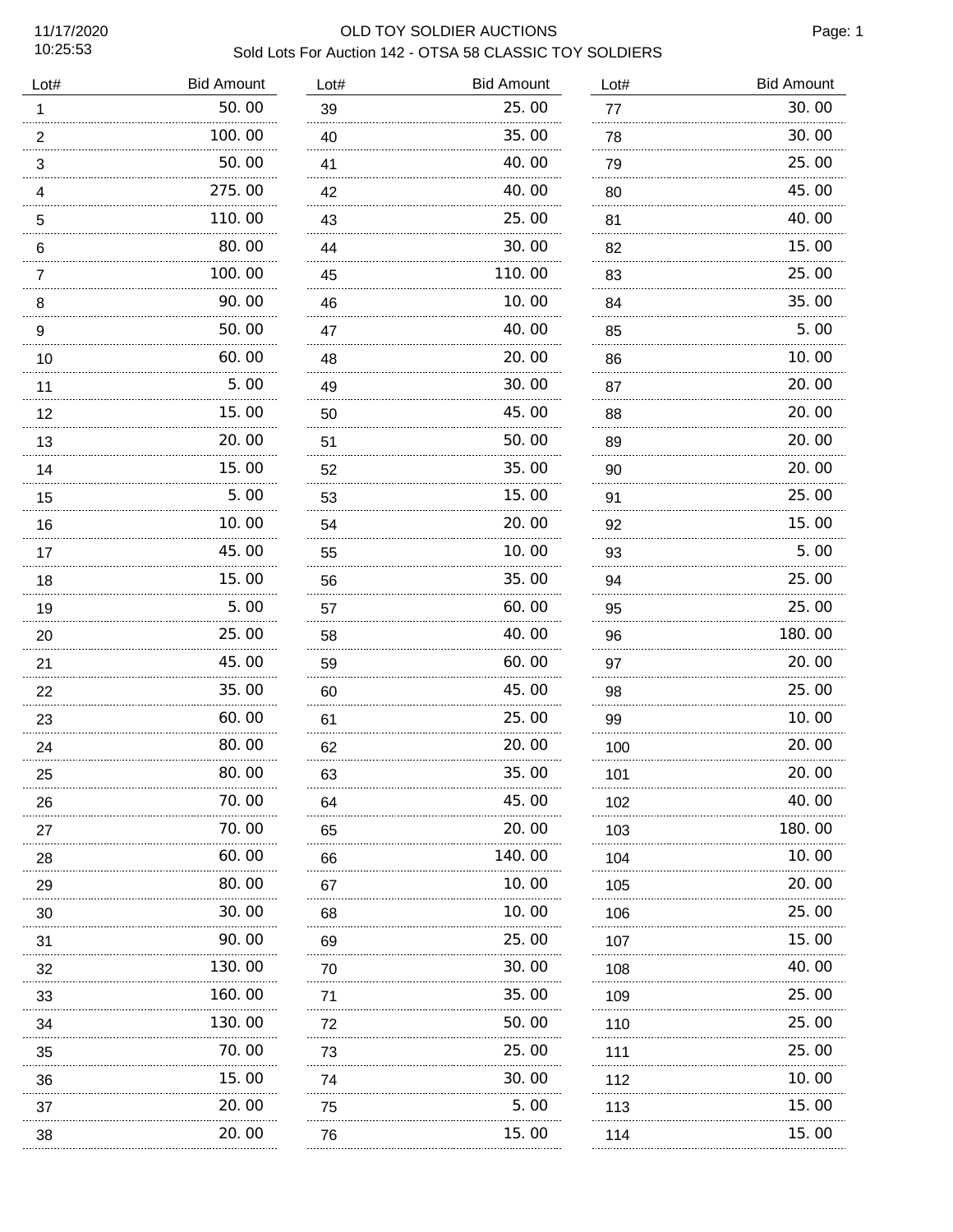10:25:53

# 11/17/2020 OLD TOY SOLDIER AUCTIONS Sold Lots For Auction 142 - OTSA 58 CLASSIC TOY SOLDIERS

Page: 1

| Lot#                | <b>Bid Amount</b> | Lot#    | <b>Bid Amount</b> | Lot#    | <b>Bid Amount</b> |
|---------------------|-------------------|---------|-------------------|---------|-------------------|
| $\mathbf{1}$        | 50.00             | 39      | 25.00             | 77      | 30.00             |
| $\boldsymbol{2}$    | 100.00            | 40      | 35.00             | 78      | 30.00             |
| $\mathsf 3$         | 50.00             | 41      | 40.00             | 79      | 25.00             |
| 4                   | 275.00            | 42      | 40.00             | 80      | 45.00             |
| $\mathbf 5$         | 110.00            | 43      | 25.00             | 81      | 40.00             |
| 6                   | 80.00             | 44      | 30.00             | 82      | 15.00             |
| $\overline{7}$<br>. | 100.00            | 45      | 110.00            | 83<br>. | 25.00             |
| 8                   | 90.00             | 46      | 10.00             | 84      | 35.00             |
| 9<br>.              | 50.00             | 47<br>. | 40.00             | 85<br>. | 5.00              |
| 10                  | 60.00             | 48      | 20.00             | 86      | 10.00             |
| 11                  | 5.00              | 49      | 30.00             | 87      | 20.00             |
| 12<br>.             | 15.00             | 50      | 45.00             | 88      | 20.00             |
| 13                  | 20.00             | 51      | 50.00             | 89      | 20.00             |
| 14                  | 15.00             | 52      | 35.00             | 90      | 20.00             |
| 15                  | 5.00              | 53      | 15.00             | 91      | 25.00             |
| 16                  | 10.00             | 54      | 20.00             | 92      | 15.00             |
| 17                  | 45.00             | 55      | 10.00             | 93      | 5.00              |
| 18                  | 15.00             | 56      | 35.00             | 94      | 25.00             |
| 19                  | 5.00              | 57      | 60.00             | 95      | 25.00             |
| 20                  | 25.00             | 58      | 40.00             | 96      | 180.00            |
| 21                  | 45.00             | 59      | 60.00             | 97      | 20.00             |
| 22                  | 35.00             | 60      | 45.00             | 98      | 25.00             |
| 23                  | 60.00             | 61      | 25.00             | 99      | 10.00             |
| 24                  | 80.00             | 62      | 20.00             | 100     | 20.00             |
| 25                  | 80.00             | 63      | 35.00             | 101     | 20.00             |
| 26                  | .<br>70.00        | 64      | 45.00             | 102     | 40.00             |
| 27                  | 70.00             | 65      | 20.00             | 103     | 180.00            |
| 28                  | .<br>60.00        | 66      | 140.00            | 104     | 10.00             |
| 29                  | .<br>80.00        | 67      | 10.00             | 105     | 20.00             |
| 30                  | .<br>30.00        | 68      | 10.00             | 106     | 25.00             |
| 31                  | 90.00             | 69      | 25.00             | 107     | 15.00             |
| 32                  | .<br>130.00       | 70      | .<br>30.00        | 108     | 40.00             |
| 33                  | .<br>160.00       | 71      | 35.00             | 109     | 25.00             |
| 34                  | .<br>130.00       | 72      | 50.00             | 110     | 25.00             |
| 35                  | 70.00             | 73      | 25.00             | 111     | 25.00             |
| 36                  | .<br>15.00        | 74      | 30.00             | 112     | 10.00             |
| 37                  | 20.00             | 75      | 5.00              | 113     | 15.00             |
| 38                  | 20.00             | 76      | 15.00             | 114     | 15.00             |
|                     |                   |         |                   |         |                   |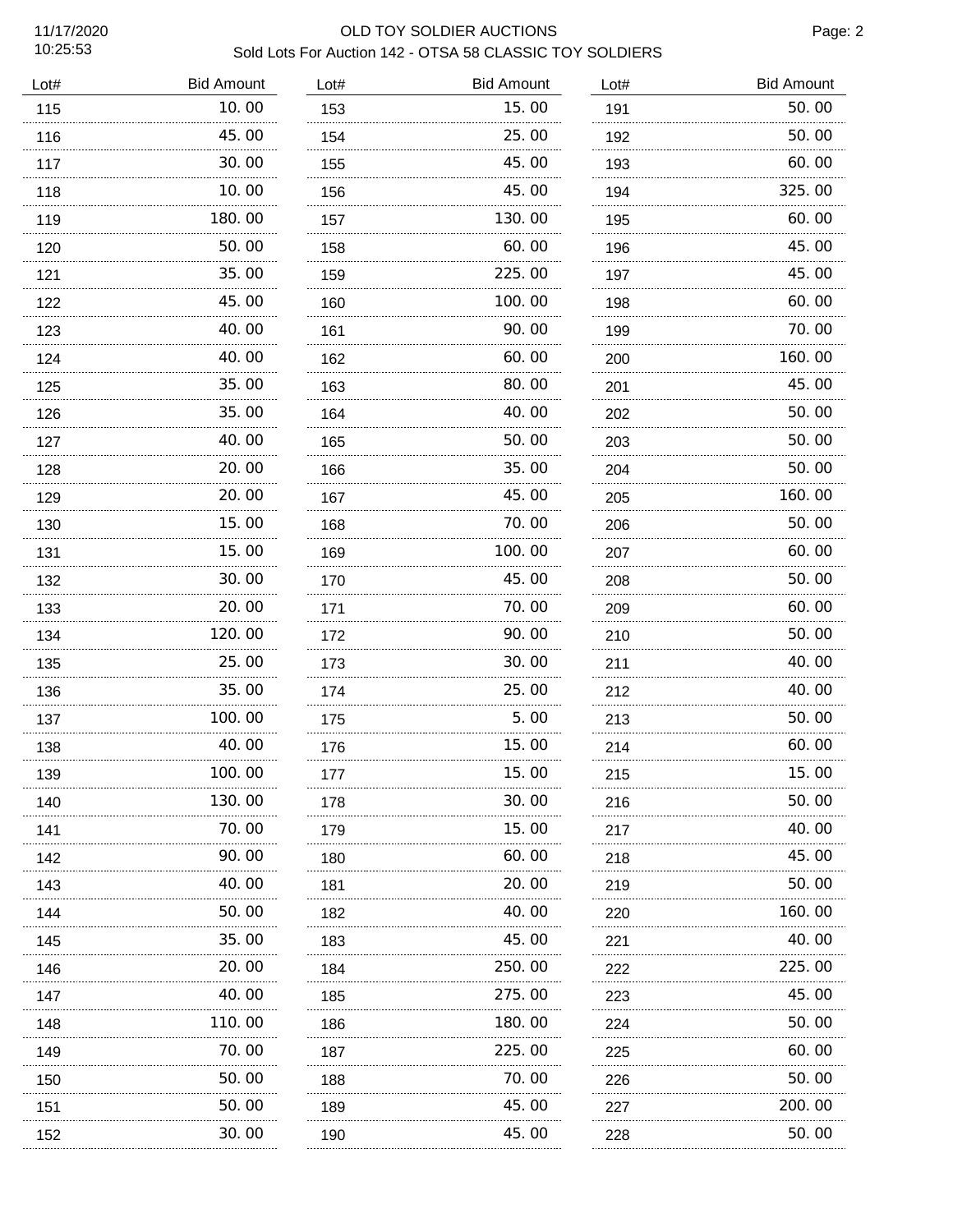10:25:53

### 11/17/2020 OLD TOY SOLDIER AUCTIONS Sold Lots For Auction 142 - OTSA 58 CLASSIC TOY SOLDIERS

Page: 2

| Lot# | <b>Bid Amount</b> | Lot#     | <b>Bid Amount</b> | Lot# | <b>Bid Amount</b> |
|------|-------------------|----------|-------------------|------|-------------------|
| 115  | 10.00             | 153      | 15.00             | 191  | 50.00             |
| 116  | 45.00             | 154      | 25.00             | 192  | 50.00             |
| 117  | 30.00             | 155      | 45.00             | 193  | 60.00             |
| 118  | 10. 00            | 156      | 45.00             | 194  | 325.00            |
| 119  | 180.00            | 157      | 130.00            | 195  | 60.00             |
| 120  | 50.00             | 158      | 60.00             | 196  | 45.00             |
| 121  | 35.00             | 159      | 225.00            | 197  | 45.00             |
| 122  | 45.00             | 160      | 100.00            | 198  | 60.00             |
| 123  | 40.00             | 161      | 90.00             | 199  | 70.00             |
| 124  | 40.00             | 162      | 60.00             | 200  | 160.00            |
| 125  | 35.00             | .<br>163 | 80.00             | 201  | 45.00             |
| 126  | 35.00             | 164      | 40.00             | 202  | 50.00             |
| 127  | 40.00             | 165      | 50.00             | 203  | 50.00             |
| 128  | 20.00             | 166      | 35.00             | 204  | 50.00             |
| 129  | 20.00             | 167      | 45.00             | 205  | 160.00            |
| 130  | 15.00             | 168      | 70.00             | 206  | 50.00             |
| 131  | 15.00             | 169      | 100.00            | 207  | 60.00             |
| 132  | 30.00             | 170      | 45.00             | 208  | 50.00             |
| 133  | 20.00             | 171      | 70.00             | 209  | 60.00             |
| 134  | 120.00            | 172      | 90.00             | 210  | 50.00             |
| 135  | 25.00             | 173      | 30.00             | 211  | 40.00             |
| 136  | 35.00             | 174      | 25.00             | 212  | 40.00             |
| 137  | 100.00            | 175      | 5.00              | 213  | 50.00             |
| 138  | 40.00             | 176      | 15.00             | 214  | 60.00             |
| 139  | 100.00            | 177      | 15.00             | 215  | 15.00             |
| 140  | 130.00            | 178      | 30.00             | 216  | 50.00             |
| 141  | .<br>70. 00       | 179      | 15.00             | 217  | 40.00             |
| 142  | 90.00             | 180      | 60.00             | 218  | 45.00             |
| 143  | 40.00             | 181      | 20.00             | 219  | 50.00             |
| 144  | 50.00             | 182      | 40.00             | 220  | 160.00            |
| 145  | 35.00             | 183      | 45.00             | 221  | 40.00             |
| 146  | 20. 00            | 184      | 250.00            | 222  | 225.00            |
| 147  | 40.00             | 185      | 275.00            | 223  | 45.00             |
| 148  | 110.00            | 186      | 180.00            | 224  | 50.00             |
| 149  | 70. 00            | 187      | 225.00            | 225  | 60.00             |
| 150  | 50.00             | 188      | 70.00             | 226  | 50.00             |
| 151  | 50.00             | 189      | 45.00             | 227  | 200.00            |
| 152  | 30.00             | 190      | 45.00             | 228  | 50.00             |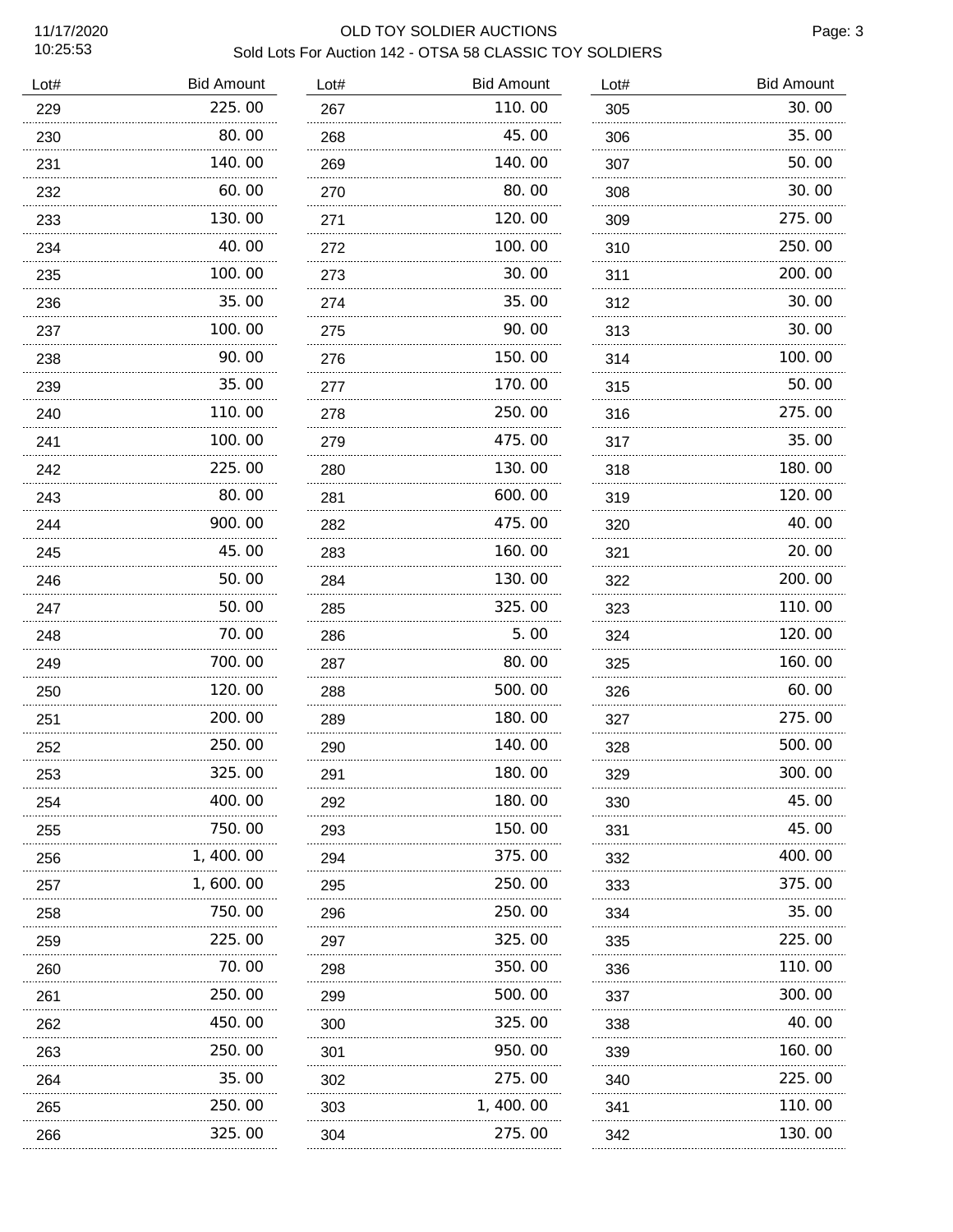10:25:53

# 11/17/2020 OLD TOY SOLDIER AUCTIONS Sold Lots For Auction 142 - OTSA 58 CLASSIC TOY SOLDIERS

Page: 3

| Lot# | <b>Bid Amount</b> | Lot# | <b>Bid Amount</b> | Lot# | <b>Bid Amount</b> |
|------|-------------------|------|-------------------|------|-------------------|
| 229  | 225.00            | 267  | 110.00            | 305  | 30.00             |
| 230  | 80.00             | 268  | 45.00             | 306  | 35.00             |
| 231  | 140.00            | 269  | 140.00            | 307  | 50.00             |
| 232  | 60.00             | 270  | 80.00             | 308  | 30.00             |
| 233  | 130.00<br>.       | 271  | 120.00            | 309  | 275.00            |
| 234  | 40.00             | 272  | 100. 00           | 310  | 250.00            |
| 235  | 100.00<br>.       | 273  | 30.00             | 311  | 200.00            |
| 236  | 35.00             | 274  | 35.00             | 312  | 30.00             |
| 237  | 100.00            | 275  | 90.00             | 313  | 30.00             |
| 238  | 90.00             | 276  | 150.00            | 314  | 100.00            |
| 239  | 35.00             | 277  | 170.00            | 315  | 50.00             |
| 240  | 110.00            | 278  | 250.00            | 316  | 275.00            |
| 241  | 100.00            | 279  | 475.00            | 317  | 35.00             |
| 242  | 225.00            | 280  | 130.00            | 318  | 180.00            |
| 243  | 80.00             | 281  | 600.00            | 319  | 120.00            |
| 244  | 900.00            | 282  | 475.00            | 320  | 40.00             |
| 245  | 45.00             | 283  | 160.00            | 321  | 20.00             |
| 246  | 50.00             | 284  | 130.00            | 322  | 200.00            |
| 247  | 50.00             | 285  | 325.00            | 323  | 110.00            |
| 248  | 70.00             | 286  | 5.00              | 324  | 120, 00           |
| 249  | 700.00            | 287  | 80.00             | 325  | 160.00            |
| 250  | 120.00            | 288  | 500.00            | 326  | 60.00             |
| 251  | 200.00            | 289  | 180.00            | 327  | 275.00            |
| 252  | 250.00            | 290  | 140.00            | 328  | 500.00            |
| 253  | 325.00            | 291  | 180. 00           | 329  | 300.00            |
| 254  | 400.00            | 292  | 180. 00           | 330  | 45.00             |
| 255  | 750.00            | 293  | 150. 00           | 331  | 45.00             |
| 256  | 1, 400. 00        | 294  | 375.00            | 332  | 400.00            |
| 257  | 1, 600. 00        | 295  | 250.00            | 333  | 375.00            |
| 258  | 750.00            | 296  | 250.00            | 334  | 35.00             |
| 259  | 225.00            | 297  | 325.00            | 335  | 225.00            |
| 260  | 70.00             | 298  | 350.00            | 336  | 110.00            |
| 261  | 250.00            | 299  | 500.00            | 337  | 300.00            |
| 262  | 450.00            | 300  | 325.00            | 338  | 40.00             |
| 263  | 250.00            | 301  | 950.00            | 339  | 160.00            |
| 264  | 35.00             | 302  | 275.00            | 340  | 225.00            |
| 265  | <br>250.00        | 303  | <br>1, 400, 00    | 341  | 110.00            |
| 266  | .<br>325.00       | 304  | .<br>275.00       | 342  | 130.00            |
|      |                   |      |                   |      |                   |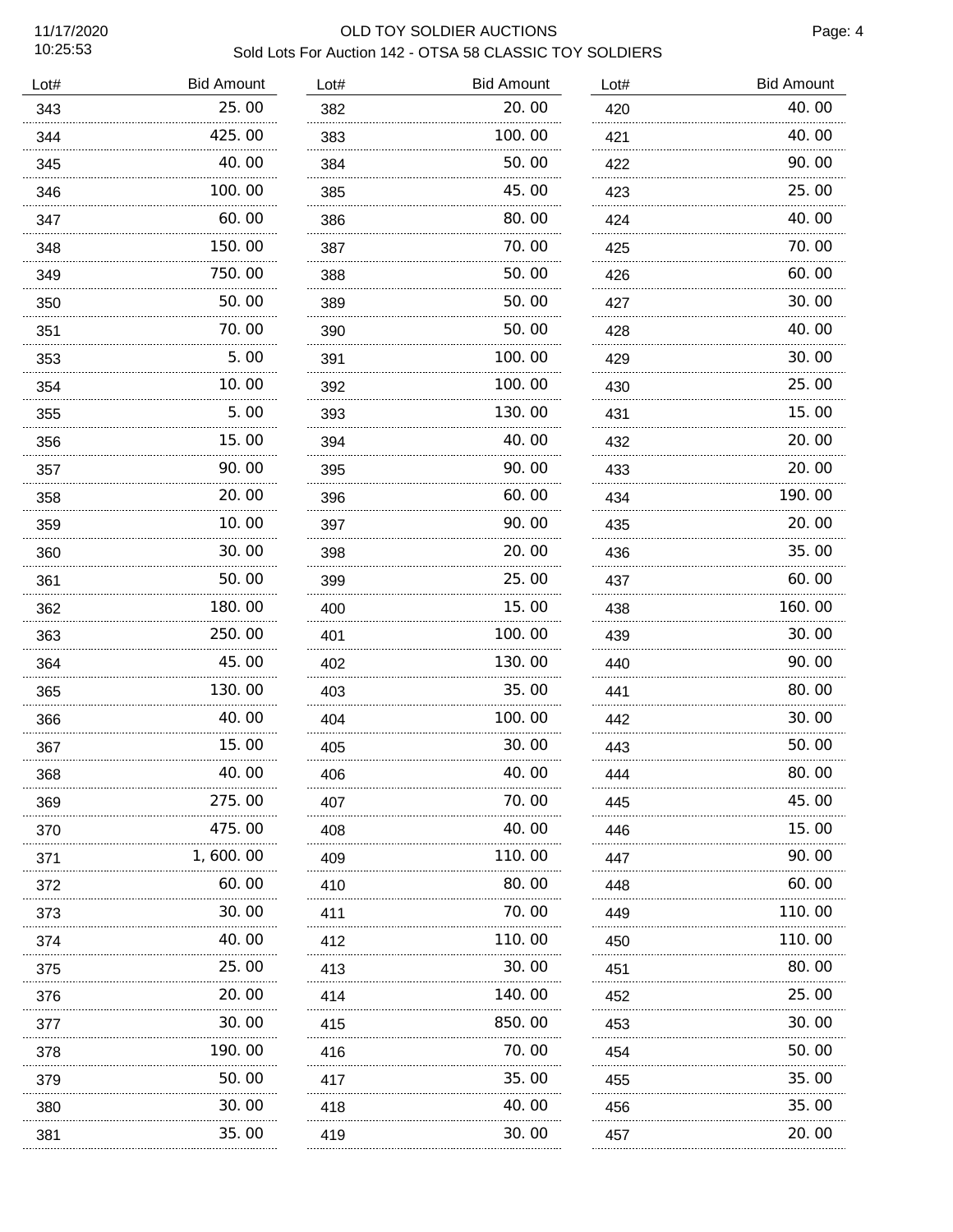# 11/17/2020 OLD TOY SOLDIER AUCTIONS Sold Lots For Auction 142 - OTSA 58 CLASSIC TOY SOLDIERS

| Lot# | <b>Bid Amount</b> | Lot# | <b>Bid Amount</b> | Lot#                    | <b>Bid Amount</b> |
|------|-------------------|------|-------------------|-------------------------|-------------------|
| 343  | 25.00             | 382  | 20.00             | 420                     | 40.00             |
| 344  | 425.00            | 383  | 100.00            | 421                     | 40.00             |
| 345  | 40.00             | 384  | 50.00             | 422                     | 90.00             |
| 346  | 100.00            | 385  | 45.00             | 423                     | 25.00             |
| 347  | 60.00             | 386  | 80.00             | 424                     | 40.00             |
| 348  | 150.00            | 387  | 70.00             | 425                     | 70.00             |
| 349  | 750.00            | 388  | 50.00             | 426                     | 60.00             |
| 350  | 50.00<br>.        | 389  | 50.00             | 427                     | 30.00             |
| 351  | 70.00             | 390  | 50.00             | 428                     | 40.00             |
| 353  | 5.00<br>.         | 391  | 100.00            | 429                     | 30.00             |
| 354  | 10.00             | 392  | 100.00            | 430                     | 25.00             |
| 355  | 5.00              | 393  | 130.00            | 431                     | 15.00             |
| 356  | 15.00             | 394  | 40.00             | 432                     | 20.00             |
| 357  | 90.00<br>.        | 395  | 90.00<br>.        | 433                     | 20.00             |
| 358  | 20.00             | 396  | 60.00             | 434                     | 190.00            |
| 359  | 10.00             | 397  | 90.00             | 435                     | 20.00             |
| 360  | 30.00             | 398  | 20.00             | 436                     | 35.00             |
| 361  | 50.00             | 399  | 25.00             | 437                     | 60.00             |
| 362  | 180.00            | 400  | 15.00             | 438                     | 160.00            |
| 363  | 250.00            | 401  | 100.00            | 439                     | 30.00             |
| 364  | 45.00             | 402  | 130.00            | 440                     | 90.00             |
| 365  | 130.00            | 403  | 35.00             | 441                     | 80.00             |
| 366  | 40.00             | 404  | 100.00            | 442                     | 30.00             |
| 367  | 15.00             | 405  | 30.00             | 443                     | 50.00             |
| 368  | 40.00             | 406  | 40.00             | $\Lambda\Lambda\Lambda$ | 80.00             |
| 369  | 275.00            | 407  | 70.00             | 445                     | 45.00             |
| 370  | 475.00            | 408  | 40.00             | 446<br>.                | 15.00             |
| 371  | 1,600.00          | 409  | 110.00            | 447                     | 90.00             |
| 372  | 60.00             | 410  | 80.00             | 448                     | 60.00             |
| 373  | 30.00             | 411  | 70.00             | 449                     | 110.00            |
| 374  | 40.00             | 412  | 110.00            | 450                     | 110.00            |
| 375  | 25.00             | 413  | 30.00             | 451                     | 80.00             |
| 376  | 20.00<br>         | 414  | 140.00            | 452                     | 25.00             |
| 377  | 30.00<br>.        | 415  | 850.00            | 453                     | 30.00             |
| 378  | 190.00            | 416  | 70.00             | 454                     | 50.00             |
| 379  | 50.00             | 417  | 35.00             | 455                     | 35.00             |
| 380  | 30.00             | 418  | 40.00             | 456                     | 35.00             |
| 381  | 35.00             | 419  | 30.00             | 457                     | 20.00             |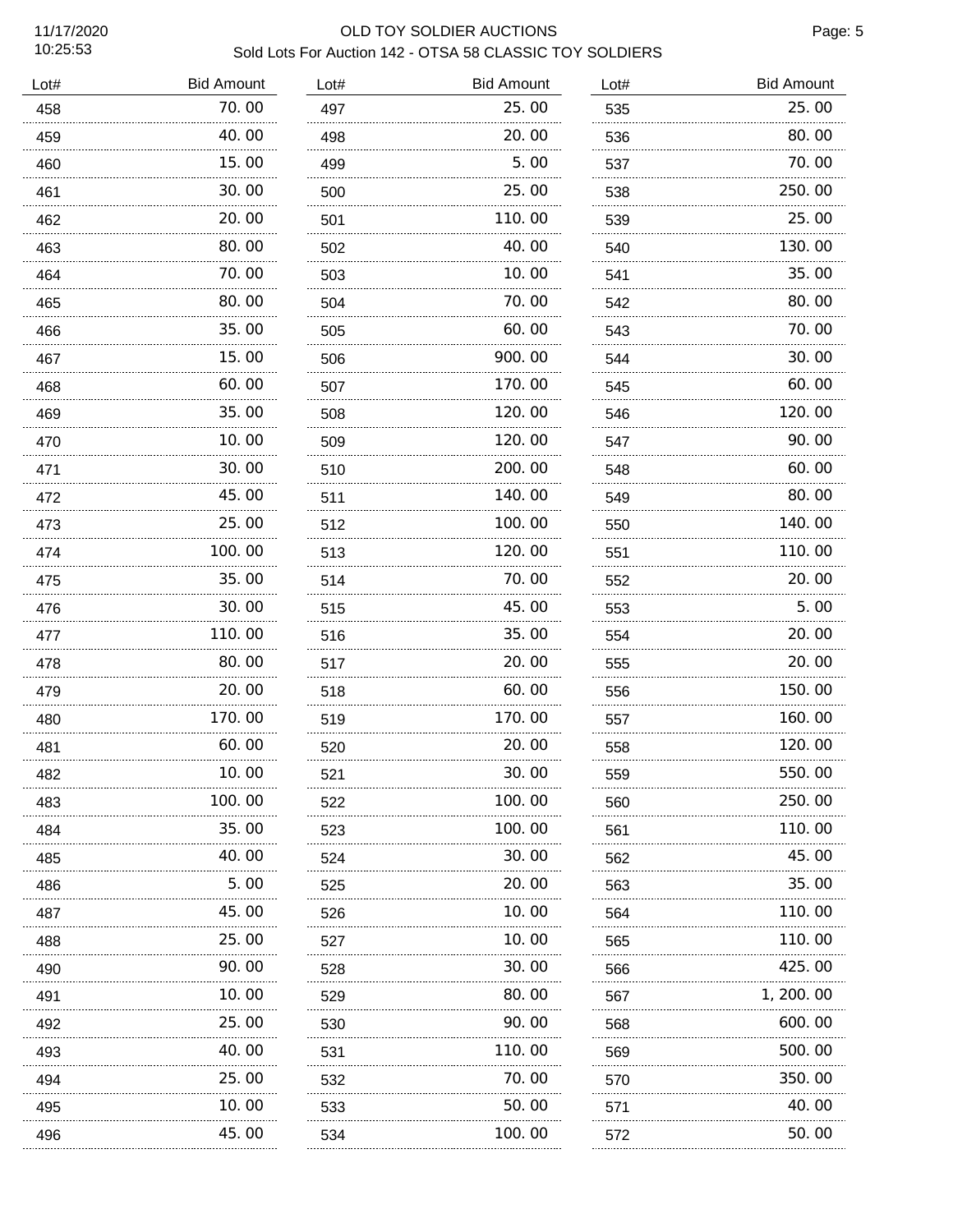$\overline{a}$ 

#### 11/17/2020 OLD TOY SOLDIER AUCTIONS Sold Lots For Auction 142 - OTSA 58 CLASSIC TOY SOLDIERS

| Lot# | <b>Bid Amount</b> | Lot# | <b>Bid Amount</b> | Lot# | <b>Bid Amount</b> |
|------|-------------------|------|-------------------|------|-------------------|
| 458  | 70.00             | 497  | 25.00             | 535  | 25.00             |
| 459  | 40.00             | 498  | 20.00             | 536  | 80.00             |
| 460  | 15.00             | 499  | 5.00              | 537  | 70.00             |
| 461  | 30.00             | 500  | 25.00             | 538  | 250.00            |
| 462  | 20.00             | 501  | 110.00            | 539  | 25.00             |
| 463  | 80.00             | 502  | 40.00             | 540  | 130.00            |
| 464  | 70.00             | 503  | 10.00             | 541  | 35.00             |
| 465  | 80.00             | 504  | 70.00             | 542  | 80.00             |
| 466  | 35.00             | 505  | 60.00             | 543  | 70.00             |
| 467  | 15.00             | 506  | 900.00            | 544  | 30.00             |
| 468  | 60.00             | 507  | 170.00            | 545  | 60.00             |
| 469  | 35.00             | 508  | 120.00            | 546  | 120.00            |
| 470  | 10.00             | 509  | 120.00            | 547  | 90.00             |
| 471  | 30.00             | 510  | 200.00            | 548  | 60.00             |
| 472  | 45.00             | 511  | 140.00            | 549  | 80.00             |
| 473  | 25.00             | 512  | 100.00            | 550  | 140.00            |
| 474  | 100.00            | 513  | 120.00            | 551  | 110.00            |
| 475  | 35.00             | 514  | 70.00             | 552  | 20.00             |
| 476  | 30.00             | 515  | 45.00             | 553  | 5.00              |
| 477  | 110.00            | 516  | 35.00             | 554  | 20.00             |
| 478  | 80.00             | 517  | 20.00             | 555  | 20.00             |
| 479  | 20.00             | 518  | 60.00             | 556  | 150.00            |
| 480  | 170.00            | 519  | 170.00            | 557  | 160.00            |
| 481  | 60.00             | 520  | 20.00             | 558  | 120.00            |
| 482  | 10.00             | 521  | 30.00             | 559  | 550.00            |
| 483  | 100. 00           | 522  | 100.00            | 560  | 250.00            |
| 484  | 35.00             | 523  | 100.00            | 561  | 110.00            |
| 485  | 40.00             | 524  | 30.00             | 562  | 45.00             |
| 486  | 5.00              | 525  | 20.00             | 563  | 35.00             |
| 487  | 45.00             | 526  | 10.00             | 564  | 110.00            |
| 488  | 25.00             | 527  | 10.00             | 565  | 110.00            |
| 490  | 90.00             | 528  | 30.00             | 566  | 425.00            |
| 491  | 10.00             | 529  | 80.00             | 567  | 1, 200. 00        |
| 492  | 25.00             | 530  | 90.00             | 568  | 600.00            |
| 493  | 40.00             | 531  | 110.00            | 569  | 500.00            |
| 494  | 25.00             | 532  | 70.00             | 570  | 350.00            |
| 495  | 10.00             | 533  | 50.00             | 571  | 40.00             |
| 496  | 45.00             | 534  | 100.00            | 572  | 50.00             |